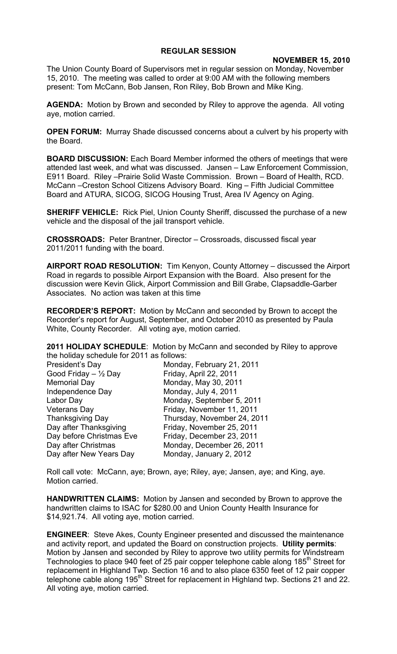## **REGULAR SESSION**

## **NOVEMBER 15, 2010**

The Union County Board of Supervisors met in regular session on Monday, November 15, 2010. The meeting was called to order at 9:00 AM with the following members present: Tom McCann, Bob Jansen, Ron Riley, Bob Brown and Mike King.

**AGENDA:** Motion by Brown and seconded by Riley to approve the agenda. All voting aye, motion carried.

**OPEN FORUM:** Murray Shade discussed concerns about a culvert by his property with the Board.

**BOARD DISCUSSION:** Each Board Member informed the others of meetings that were attended last week, and what was discussed. Jansen – Law Enforcement Commission, E911 Board. Riley –Prairie Solid Waste Commission. Brown – Board of Health, RCD. McCann –Creston School Citizens Advisory Board. King – Fifth Judicial Committee Board and ATURA, SICOG, SICOG Housing Trust, Area IV Agency on Aging.

**SHERIFF VEHICLE:** Rick Piel, Union County Sheriff, discussed the purchase of a new vehicle and the disposal of the jail transport vehicle.

**CROSSROADS:** Peter Brantner, Director – Crossroads, discussed fiscal year 2011/2011 funding with the board.

**AIRPORT ROAD RESOLUTION:** Tim Kenyon, County Attorney – discussed the Airport Road in regards to possible Airport Expansion with the Board. Also present for the discussion were Kevin Glick, Airport Commission and Bill Grabe, Clapsaddle-Garber Associates. No action was taken at this time

**RECORDER'S REPORT:** Motion by McCann and seconded by Brown to accept the Recorder's report for August, September, and October 2010 as presented by Paula White, County Recorder. All voting aye, motion carried.

**2011 HOLIDAY SCHEDULE**: Motion by McCann and seconded by Riley to approve the holiday schedule for 2011 as follows:

| President's Day          | Monday, February 21, 2011   |
|--------------------------|-----------------------------|
| Good Friday $-$ 1/2 Day  | Friday, April 22, 2011      |
| <b>Memorial Day</b>      | Monday, May 30, 2011        |
| Independence Day         | Monday, July 4, 2011        |
| Labor Day                | Monday, September 5, 2011   |
| <b>Veterans Day</b>      | Friday, November 11, 2011   |
| <b>Thanksgiving Day</b>  | Thursday, November 24, 2011 |
| Day after Thanksgiving   | Friday, November 25, 2011   |
| Day before Christmas Eve | Friday, December 23, 2011   |
| Day after Christmas      | Monday, December 26, 2011   |
| Day after New Years Day  | Monday, January 2, 2012     |

Roll call vote: McCann, aye; Brown, aye; Riley, aye; Jansen, aye; and King, aye. Motion carried.

**HANDWRITTEN CLAIMS:** Motion by Jansen and seconded by Brown to approve the handwritten claims to ISAC for \$280.00 and Union County Health Insurance for \$14,921.74. All voting aye, motion carried.

**ENGINEER**: Steve Akes, County Engineer presented and discussed the maintenance and activity report, and updated the Board on construction projects. **Utility permits**: Motion by Jansen and seconded by Riley to approve two utility permits for Windstream Technologies to place 940 feet of 25 pair copper telephone cable along 185<sup>th</sup> Street for replacement in Highland Twp. Section 16 and to also place 6350 feet of 12 pair copper telephone cable along 195<sup>th</sup> Street for replacement in Highland twp. Sections 21 and 22. All voting aye, motion carried.